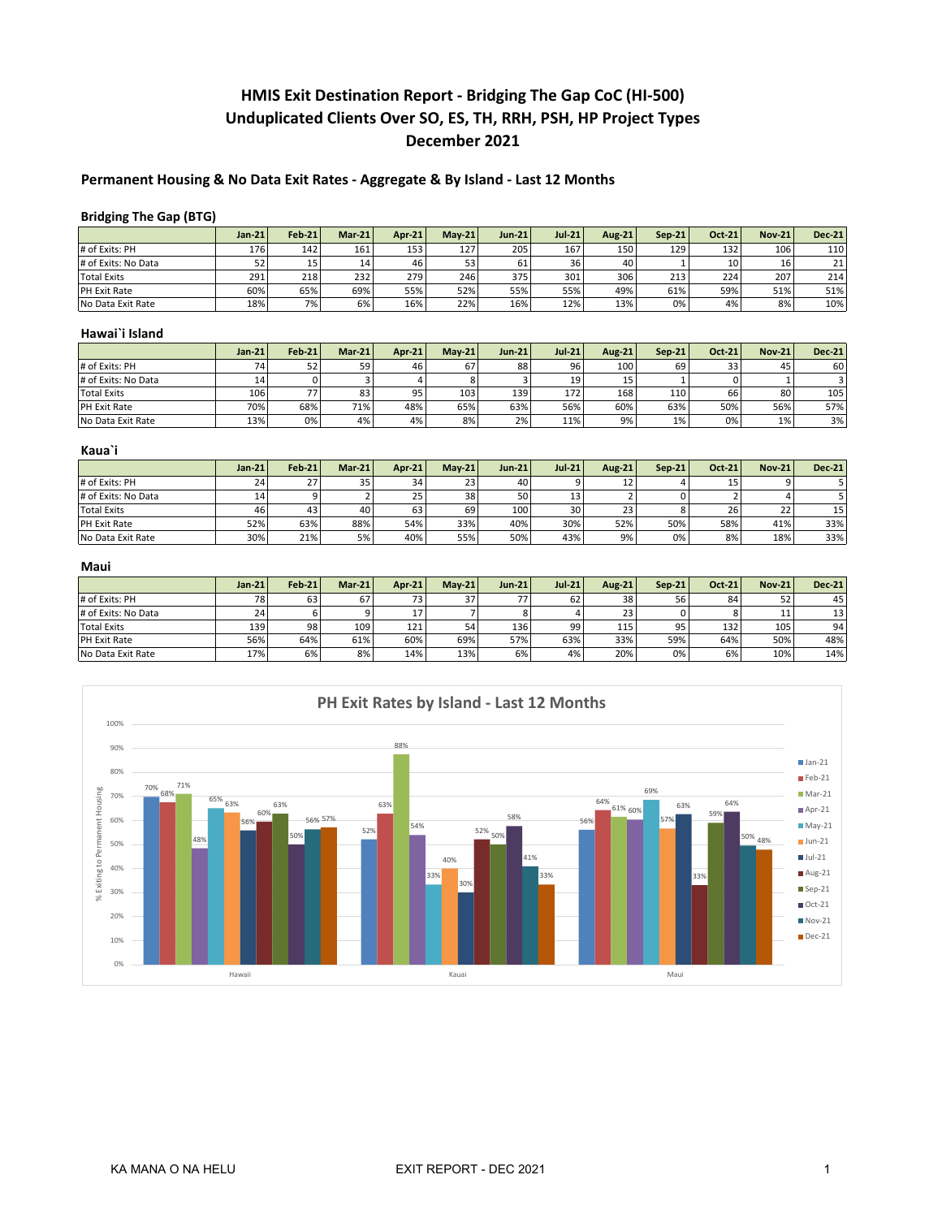# **HMIS Exit Destination Report - Bridging The Gap CoC (HI-500) Unduplicated Clients Over SO, ES, TH, RRH, PSH, HP Project Types December 2021**

# **Permanent Housing & No Data Exit Rates - Aggregate & By Island - Last 12 Months**

# **Bridging The Gap (BTG)**

|                     | $Jan-21$  | $Feb-21$ | $Mar-21$         | <b>Apr-21</b> | $Mav-21$ | $Jun-21$ | $Jul-21$ | <b>Aug-21</b> | $Sen-21$ | Oct-21 | <b>Nov-21</b> | $Dec-21$         |
|---------------------|-----------|----------|------------------|---------------|----------|----------|----------|---------------|----------|--------|---------------|------------------|
| # of Exits: PH      | 176       | 142      | 161              | 153           | 127      | 205      | 167      | 150           | 129      | 132    | 106           | 110 <sub>1</sub> |
| # of Exits: No Data | c٦<br>ے ر | 15       | 14               | 46            | 53       | 61       | 36       | 40            |          | 10     | 16            | 21               |
| <b>Total Exits</b>  | 291       | 218      | 232 <sub>1</sub> | 279           | 246      | 375      | 301      | 306           | 213      | 224    | 207           | 214              |
| PH Exit Rate        | 60%       | 65%      | 69%              | 55%           | 52%      | 55%      | 55%      | 49%           | 61%      | 59%    | 51%           | 51%              |
| No Data Exit Rate   | 18%       | 7%       | 6%               | 16%           | 22%      | 16%      | 12%      | 13%           | 0%       | 4%     | 8%            | 10%              |

#### **Hawai`i Island**

|                     | $Jan-21$ | $Feb-21$ | $Mar-21$ | Apr-21 | $Mav-21$ | $Jun-21$ | $Jul-21$ | <b>Aug-21</b> | $Sen-21$ | Oct-21 | $Nov-21$ | <b>Dec-21</b> |
|---------------------|----------|----------|----------|--------|----------|----------|----------|---------------|----------|--------|----------|---------------|
| # of Exits: PH      |          | 52       | 59       | 46     | 67       | 88       | 96       | 100           | 69       | 33     | 45       | 60            |
| # of Exits: No Data |          |          |          |        |          |          | 19       | 15            |          |        |          |               |
| <b>Total Exits</b>  | 106      | 77       | 83       | 95     | 103      | 139      | 172      | 168           | 110      | 66     | 80       | 105           |
| PH Exit Rate        | 70%      | 68%      | 71%      | 48%    | 65%      | 63%      | 56%      | 60%           | 63%      | 50%    | 56%      | 57%           |
| No Data Exit Rate   | 13%      | 0%       | 4%       | 4%     | 8%       | 2%       | 11%      | 9%            | 1%       | 0%     | 1%       | 3%            |

## **Kaua`i**

|                     | $Jan-21$ | $Feb-21$ | $Mar-21$ | Apr-21 | $Mav-21$ | $Jun-21$ | $Jul-21$ | Aug-21 | $Sen-21$ | Oct-21 | <b>Nov-21</b> | $Dec-21$        |
|---------------------|----------|----------|----------|--------|----------|----------|----------|--------|----------|--------|---------------|-----------------|
| # of Exits: PH      | 24       | 27       | 35       | 34     | 23       | 40       |          |        |          | 15     |               |                 |
| # of Exits: No Data |          |          |          | 25     | 38       | 50       | 13       |        |          |        |               |                 |
| Total Exits         | 46       | 43       | 40       | 63     | 69       | 100      | 30       | 23     |          | 26     | 22            | 15 <sub>1</sub> |
| <b>PH Exit Rate</b> | 52%      | 63%      | 88%      | 54%    | 33%      | 40%      | 30%      | 52%    | 50%      | 58%    | 41%           | 33%             |
| No Data Exit Rate   | 30%      | 21%      | 5%       | 40%    | 55%      | 50%      | 43%      | 9%     | 0%       | 8%     | 18%           | 33%             |

#### **Maui**

|                     | $Jan-21$ | $Feb-21$ | $Mar-21$ | Apr-21 | $Mav-21$ | $Jun-21$ | $Jul-21$ | Aug-21 | $Sen-21$ | Oct-21 | <b>Nov-21</b> | $Dec-21$        |
|---------------------|----------|----------|----------|--------|----------|----------|----------|--------|----------|--------|---------------|-----------------|
| # of Exits: PH      | 70       | 63       | 67       | 73     | 37       |          | 62       | 38     | 56       | 84     | 52            | 45              |
| # of Exits: No Data | $\sim$   |          |          | 17     |          |          |          | 23     |          |        | 11            | 13 <sub>1</sub> |
| Total Exits         | 139      | 98       | 109      | 121    | 54       | 136      | 99       | 115    | 95       | 132    | 105           | 94              |
| PH Exit Rate        | 56%      | 64%      | 61%      | 60%    | 69%      | 57%      | 63%      | 33%    | 59%      | 64%    | 50%           | 48%             |
| No Data Exit Rate   | 17%      | 6%       | 8%       | 14%    | 13%      | 6%       | 4%       | 20%    | 0%       | 6%     | 10%           | 14%             |

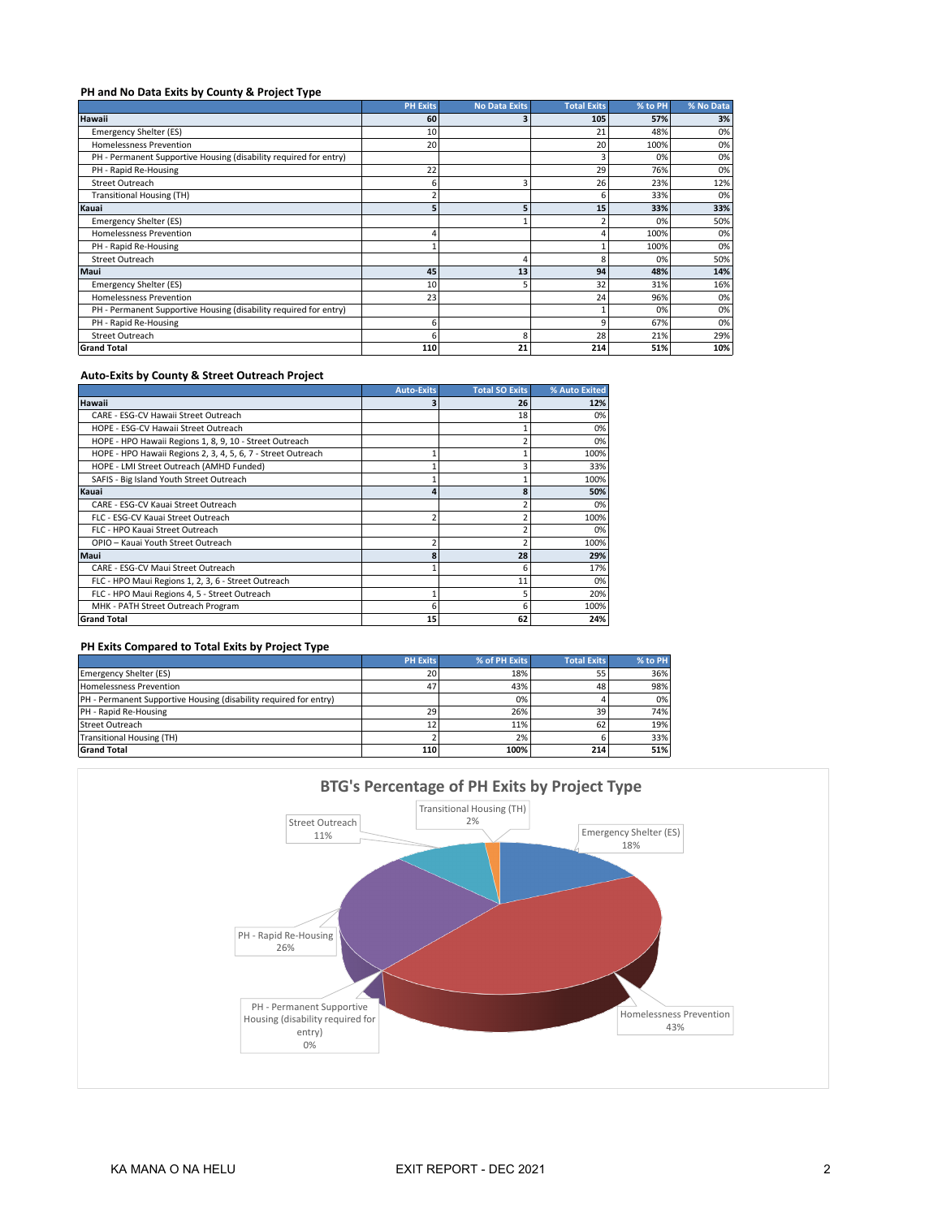## **PH and No Data Exits by County & Project Type**

|                                                                   | <b>PH Exits</b> | <b>No Data Exits</b> | <b>Total Exits</b> | % to PH | % No Data |
|-------------------------------------------------------------------|-----------------|----------------------|--------------------|---------|-----------|
| Hawaii                                                            | 60              |                      | 105                | 57%     | 3%        |
| <b>Emergency Shelter (ES)</b>                                     | 10              |                      | 21                 | 48%     | 0%        |
| <b>Homelessness Prevention</b>                                    | 20              |                      | 20                 | 100%    | 0%        |
| PH - Permanent Supportive Housing (disability required for entry) |                 |                      |                    | 0%      | 0%        |
| PH - Rapid Re-Housing                                             | 22              |                      | 29                 | 76%     | 0%        |
| Street Outreach                                                   | 6               |                      | 26                 | 23%     | 12%       |
| <b>Transitional Housing (TH)</b>                                  | $\overline{2}$  |                      | 6                  | 33%     | 0%        |
| Kauai                                                             | 5               |                      | 15                 | 33%     | 33%       |
| <b>Emergency Shelter (ES)</b>                                     |                 |                      |                    | 0%      | 50%       |
| <b>Homelessness Prevention</b>                                    | 4               |                      |                    | 100%    | 0%        |
| PH - Rapid Re-Housing                                             |                 |                      |                    | 100%    | 0%        |
| Street Outreach                                                   |                 |                      |                    | 0%      | 50%       |
| Maui                                                              | 45              | 13                   | 94                 | 48%     | 14%       |
| <b>Emergency Shelter (ES)</b>                                     | 10              |                      | 32                 | 31%     | 16%       |
| <b>Homelessness Prevention</b>                                    | 23              |                      | 24                 | 96%     | 0%        |
| PH - Permanent Supportive Housing (disability required for entry) |                 |                      |                    | 0%      | 0%        |
| PH - Rapid Re-Housing                                             | 6               |                      | $\circ$            | 67%     | 0%        |
| <b>Street Outreach</b>                                            | 6               | я                    | 28                 | 21%     | 29%       |
| <b>Grand Total</b>                                                | 110             | 21                   | 214                | 51%     | 10%       |

# **Auto-Exits by County & Street Outreach Project**

|                                                              | <b>Auto-Exits</b> | <b>Total SO Exits</b> | % Auto Exited |
|--------------------------------------------------------------|-------------------|-----------------------|---------------|
| Hawaii                                                       |                   | 26                    | 12%           |
| CARE - ESG-CV Hawaii Street Outreach                         |                   | 18                    | 0%            |
| HOPE - ESG-CV Hawaii Street Outreach                         |                   |                       | 0%            |
| HOPE - HPO Hawaii Regions 1, 8, 9, 10 - Street Outreach      |                   |                       | 0%            |
| HOPE - HPO Hawaii Regions 2, 3, 4, 5, 6, 7 - Street Outreach |                   |                       | 100%          |
| HOPE - LMI Street Outreach (AMHD Funded)                     |                   |                       | 33%           |
| SAFIS - Big Island Youth Street Outreach                     |                   |                       | 100%          |
| Kauai                                                        | 4                 |                       | 50%           |
| CARE - ESG-CV Kauai Street Outreach                          |                   |                       | 0%            |
| FLC - ESG-CV Kauai Street Outreach                           | $\overline{2}$    |                       | 100%          |
| FLC - HPO Kauai Street Outreach                              |                   |                       | 0%            |
| OPIO - Kauai Youth Street Outreach                           | $\overline{2}$    |                       | 100%          |
| Maui                                                         | 8                 | 28                    | 29%           |
| CARE - ESG-CV Maui Street Outreach                           |                   | h                     | 17%           |
| FLC - HPO Maui Regions 1, 2, 3, 6 - Street Outreach          |                   | 11                    | 0%            |
| FLC - HPO Maui Regions 4, 5 - Street Outreach                |                   |                       | 20%           |
| MHK - PATH Street Outreach Program                           | 6                 |                       | 100%          |
| <b>Grand Total</b>                                           | 15                | 62                    | 24%           |

## **PH Exits Compared to Total Exits by Project Type**

|                                                                   | <b>PH Exits</b> | % of PH Exits | <b>Total Exits</b> | % to PH |
|-------------------------------------------------------------------|-----------------|---------------|--------------------|---------|
| <b>Emergency Shelter (ES)</b>                                     | 20              | 18%           | 55                 | 36%     |
| Homelessness Prevention                                           | 47              | 43%           | 48                 | 98%     |
| PH - Permanent Supportive Housing (disability required for entry) |                 | 0%            |                    | 0%      |
| PH - Rapid Re-Housing                                             | 29              | 26%           | 39                 | 74%     |
| Street Outreach                                                   | 12              | 11%           | 62                 | 19%     |
| <b>Transitional Housing (TH)</b>                                  |                 | 2%            |                    | 33%     |
| <b>Grand Total</b>                                                | 110             | 100%          | 214                | 51%     |

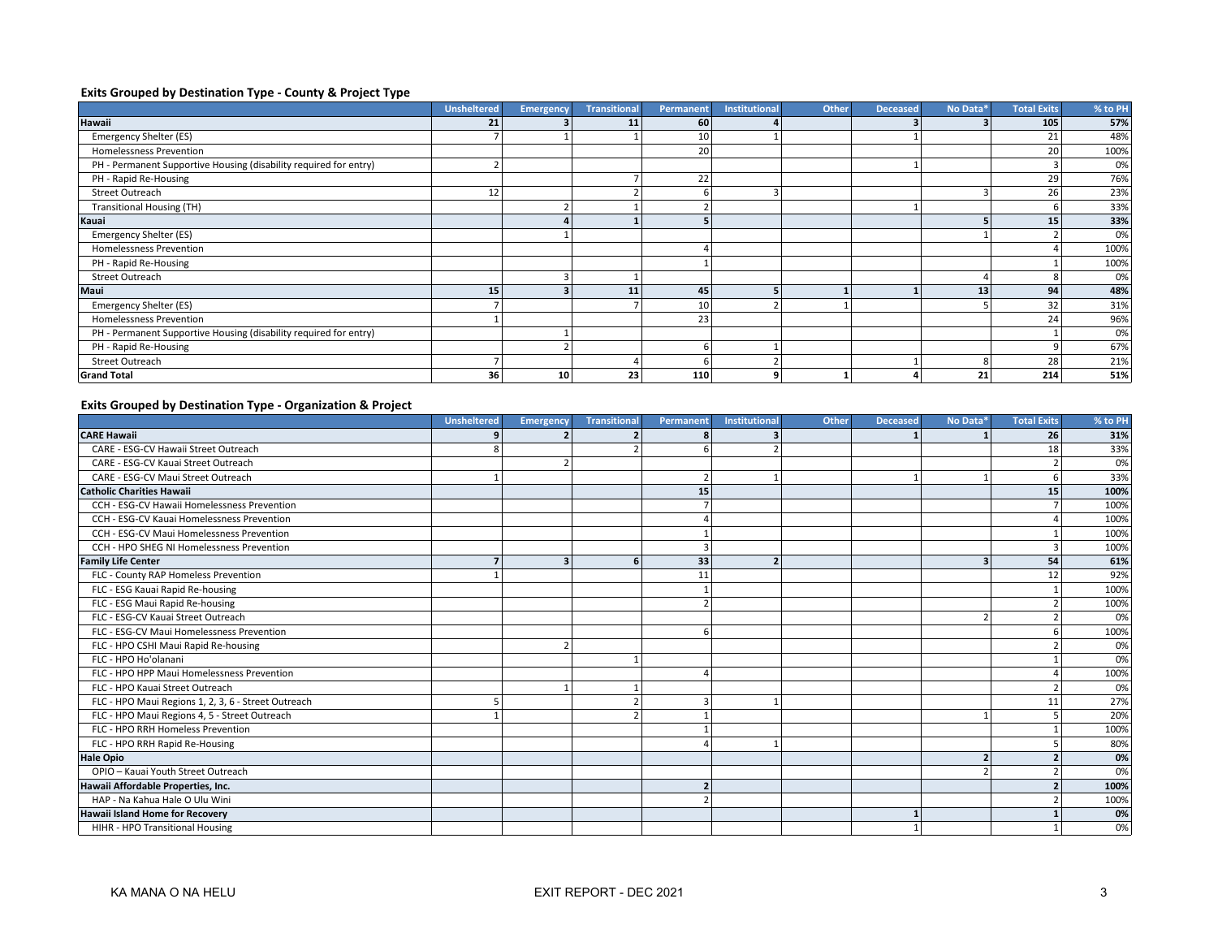## **Exits Grouped by Destination Type - County & Project Type**

|                                                                   | <b>Unsheltered</b> | <b>Emergency</b> | <b>Transitional</b> | Permanent       | <b>Institutional</b> | Other | <b>Deceased</b> | No Data* | <b>Total Exits</b> | % to PH |
|-------------------------------------------------------------------|--------------------|------------------|---------------------|-----------------|----------------------|-------|-----------------|----------|--------------------|---------|
| Hawaii                                                            | 21                 |                  | 11                  | 60              |                      |       |                 |          | 105                | 57%     |
| Emergency Shelter (ES)                                            |                    |                  |                     | 10              |                      |       |                 |          | 21                 | 48%     |
| <b>Homelessness Prevention</b>                                    |                    |                  |                     | 20              |                      |       |                 |          | 20                 | 100%    |
| PH - Permanent Supportive Housing (disability required for entry) |                    |                  |                     |                 |                      |       |                 |          |                    | 0%      |
| PH - Rapid Re-Housing                                             |                    |                  |                     | 22              |                      |       |                 |          | 29                 | 76%     |
| Street Outreach                                                   | 12                 |                  |                     | b               |                      |       |                 |          | 26                 | 23%     |
| <b>Transitional Housing (TH)</b>                                  |                    |                  |                     |                 |                      |       |                 |          |                    | 33%     |
| Kauai                                                             |                    |                  |                     |                 |                      |       |                 |          | 15                 | 33%     |
| Emergency Shelter (ES)                                            |                    |                  |                     |                 |                      |       |                 |          |                    | 0%      |
| <b>Homelessness Prevention</b>                                    |                    |                  |                     |                 |                      |       |                 |          |                    | 100%    |
| PH - Rapid Re-Housing                                             |                    |                  |                     |                 |                      |       |                 |          |                    | 100%    |
| <b>Street Outreach</b>                                            |                    |                  |                     |                 |                      |       |                 |          |                    | 0%      |
| Maui                                                              | 15                 |                  | 11                  | 45              |                      |       |                 | 13       | 94                 | 48%     |
| Emergency Shelter (ES)                                            |                    |                  |                     | 10 <sup>1</sup> |                      |       |                 |          | 32                 | 31%     |
| <b>Homelessness Prevention</b>                                    |                    |                  |                     | 23              |                      |       |                 |          | 24                 | 96%     |
| PH - Permanent Supportive Housing (disability required for entry) |                    |                  |                     |                 |                      |       |                 |          |                    | 0%      |
| PH - Rapid Re-Housing                                             |                    |                  |                     | h               |                      |       |                 |          |                    | 67%     |
| <b>Street Outreach</b>                                            |                    |                  |                     |                 |                      |       |                 |          | 28                 | 21%     |
| <b>Grand Total</b>                                                | 36                 | 10               | 23                  | 110             | o                    |       |                 | 21       | 214                | 51%     |

# **Exits Grouped by Destination Type - Organization & Project**

|                                                     | <b>Unsheltered</b> | <b>Emergency</b> | <b>Transitional</b> | Permanent      | <b>Institutional</b> | <b>Other</b> | <b>Deceased</b> | No Data* | <b>Total Exits</b> | % to PH |
|-----------------------------------------------------|--------------------|------------------|---------------------|----------------|----------------------|--------------|-----------------|----------|--------------------|---------|
| <b>CARE Hawaii</b>                                  |                    |                  |                     |                |                      |              |                 |          | 26                 | 31%     |
| CARE - ESG-CV Hawaii Street Outreach                |                    |                  |                     | 6              |                      |              |                 |          | 18                 | 33%     |
| CARE - ESG-CV Kauai Street Outreach                 |                    |                  |                     |                |                      |              |                 |          |                    | 0%      |
| CARE - ESG-CV Maui Street Outreach                  |                    |                  |                     | $\overline{2}$ |                      |              |                 |          |                    | 33%     |
| <b>Catholic Charities Hawaii</b>                    |                    |                  |                     | 15             |                      |              |                 |          | 15                 | 100%    |
| CCH - ESG-CV Hawaii Homelessness Prevention         |                    |                  |                     |                |                      |              |                 |          |                    | 100%    |
| CCH - ESG-CV Kauai Homelessness Prevention          |                    |                  |                     |                |                      |              |                 |          |                    | 100%    |
| CCH - ESG-CV Maui Homelessness Prevention           |                    |                  |                     |                |                      |              |                 |          |                    | 100%    |
| CCH - HPO SHEG NI Homelessness Prevention           |                    |                  |                     |                |                      |              |                 |          |                    | 100%    |
| <b>Family Life Center</b>                           |                    | 3                | 6                   | 33             | $\overline{2}$       |              |                 |          | 54                 | 61%     |
| FLC - County RAP Homeless Prevention                |                    |                  |                     | 11             |                      |              |                 |          | 12                 | 92%     |
| FLC - ESG Kauai Rapid Re-housing                    |                    |                  |                     |                |                      |              |                 |          |                    | 100%    |
| FLC - ESG Maui Rapid Re-housing                     |                    |                  |                     |                |                      |              |                 |          |                    | 100%    |
| FLC - ESG-CV Kauai Street Outreach                  |                    |                  |                     |                |                      |              |                 |          |                    | 0%      |
| FLC - ESG-CV Maui Homelessness Prevention           |                    |                  |                     | 6              |                      |              |                 |          |                    | 100%    |
| FLC - HPO CSHI Maui Rapid Re-housing                |                    |                  |                     |                |                      |              |                 |          |                    | 0%      |
| FLC - HPO Ho'olanani                                |                    |                  |                     |                |                      |              |                 |          |                    | 0%      |
| FLC - HPO HPP Maui Homelessness Prevention          |                    |                  |                     | Δ              |                      |              |                 |          |                    | 100%    |
| FLC - HPO Kauai Street Outreach                     |                    |                  |                     |                |                      |              |                 |          |                    | 0%      |
| FLC - HPO Maui Regions 1, 2, 3, 6 - Street Outreach |                    |                  |                     | 3              |                      |              |                 |          | 11                 | 27%     |
| FLC - HPO Maui Regions 4, 5 - Street Outreach       |                    |                  |                     |                |                      |              |                 |          |                    | 20%     |
| FLC - HPO RRH Homeless Prevention                   |                    |                  |                     |                |                      |              |                 |          |                    | 100%    |
| FLC - HPO RRH Rapid Re-Housing                      |                    |                  |                     |                |                      |              |                 |          |                    | 80%     |
| <b>Hale Opio</b>                                    |                    |                  |                     |                |                      |              |                 |          |                    | 0%      |
| OPIO - Kauai Youth Street Outreach                  |                    |                  |                     |                |                      |              |                 |          |                    | 0%      |
| Hawaii Affordable Properties, Inc.                  |                    |                  |                     | $\overline{2}$ |                      |              |                 |          |                    | 100%    |
| HAP - Na Kahua Hale O Ulu Wini                      |                    |                  |                     |                |                      |              |                 |          |                    | 100%    |
| <b>Hawaii Island Home for Recovery</b>              |                    |                  |                     |                |                      |              |                 |          |                    | 0%      |
| HIHR - HPO Transitional Housing                     |                    |                  |                     |                |                      |              |                 |          |                    | 0%      |